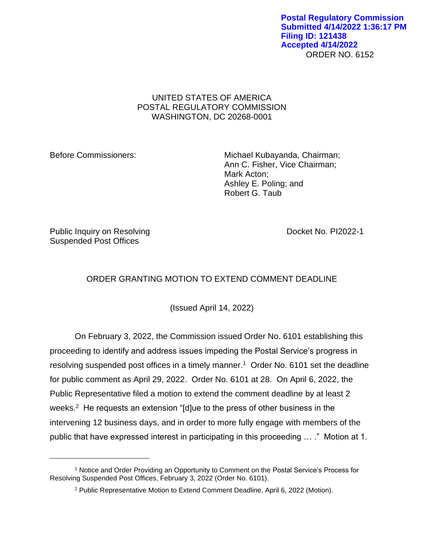ORDER NO. 6152 **Postal Regulatory Commission Submitted 4/14/2022 1:36:17 PM Filing ID: 121438 Accepted 4/14/2022**

## UNITED STATES OF AMERICA POSTAL REGULATORY COMMISSION WASHINGTON, DC 20268-0001

Before Commissioners: Michael Kubayanda, Chairman; Ann C. Fisher, Vice Chairman; Mark Acton; Ashley E. Poling; and Robert G. Taub

Public Inquiry on Resolving The Control of the Docket No. PI2022-1 Suspended Post Offices

## ORDER GRANTING MOTION TO EXTEND COMMENT DEADLINE

(Issued April 14, 2022)

On February 3, 2022, the Commission issued Order No. 6101 establishing this proceeding to identify and address issues impeding the Postal Service's progress in resolving suspended post offices in a timely manner. <sup>1</sup> Order No. 6101 set the deadline for public comment as April 29, 2022. Order No. 6101 at 28. On April 6, 2022, the Public Representative filed a motion to extend the comment deadline by at least 2 weeks.<sup>2</sup> He requests an extension "[d]ue to the press of other business in the intervening 12 business days, and in order to more fully engage with members of the public that have expressed interest in participating in this proceeding … ." Motion at 1.

<sup>1</sup> Notice and Order Providing an Opportunity to Comment on the Postal Service's Process for Resolving Suspended Post Offices, February 3, 2022 (Order No. 6101).

<sup>2</sup> Public Representative Motion to Extend Comment Deadline, April 6, 2022 (Motion).